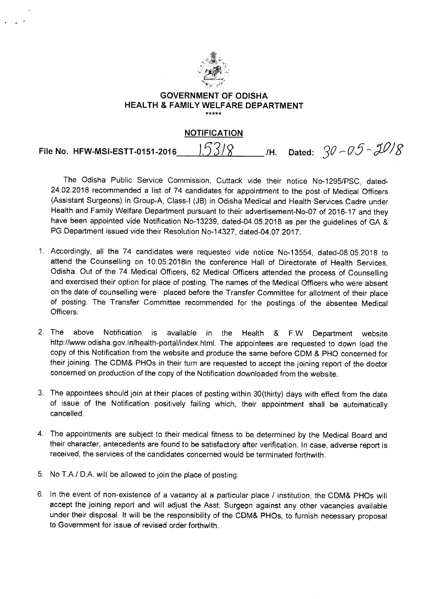

## **GOVERNMENT OF ODISHA HEALTH & FAMILY WELFARE DEPARTMENT**  \*\*\*\*\*

## **NOTIFICATION**

**File No. HFW-MSI-ESTT-0151-2016 53/8** /H. Dated:  $30 - 05 - 30$ 

The Odisha Public Service Commission, Cuttack vide their notice No-1295/PSC, dated-24.02.2018 recommended a list of 74 candidates for appointment to the post of Medical Officers (Assistant Surgeons) in Group-A, Class-I (JB) in Odisha Medical and Health Services Cadre under Health and Family Welfare Department pursuant to their advertisement-No-07 of 2016-17 and they have been appointed vide Notification No-13239, dated-04.05.2018 as per the guidelines of GA & PG Department issued vide their Resolution No-14327, dated-04.07.2017.

- 1. Accordingly, all the 74 candidates were requested vide notice No-13554, dated-08.05.2018 to attend the Counselling on 10.05.2018in the conference Hall of Directorate of Health Services, Odisha. Out of the 74 Medical Officers, 62 Medical Officers attended the process of Counselling and exercised their option for place of posting. The names of the Medical Officers who were absent on the date of counselling were placed before the Transfer Committee for allotment of their place of posting. The Transfer Committee recommended for the postings of the absentee Medical Officers.
- 2. The above Notification is available in the Health & F.W Department website http://www.odisha.gov.in/health-portal/index.html. The appointees are requested to down load the copy of this Notification from the website and produce the same before CDM & PHO concerned for their joining. The CDM& PHOs in their turn are requested to accept the joining report of the doctor concerned on production of the copy of the Notification downloaded from the website.
- 3. The appointees should join at their places of posting within 30(thirty) days with effect from the date of issue of the Notification positively failing which, their appointment shall be automatically cancelled.
- 4. The appointments are subject to their medical fitness to be determined by the Medical Board and their character, antecedents are found to be satisfactory after verification. In case, adverse report is received, the services of the candidates concerned would be terminated forthwith.
- 5. No T.A./ D.A. will be allowed to join the place of posting.
- 6. In the event of non-existence of a vacancy at a particular place / institution, the CDM& PHOs will accept the joining report and will adjust the Asst. Surgeon against any other vacancies available under their disposal. It will be the responsibility of the CDM& PHOs, to furnish necessary proposal to Government for issue of revised order forthwith.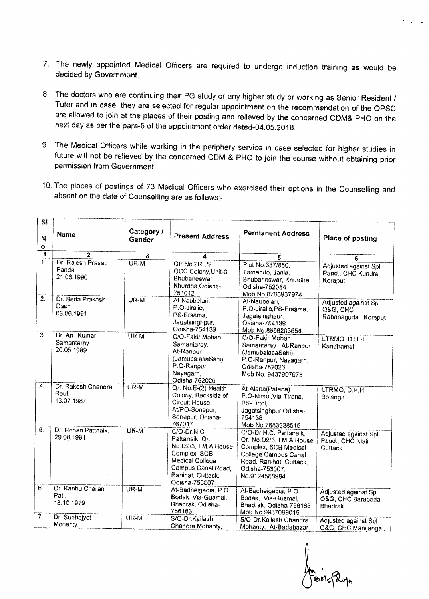- 7. The newly appointed Medical Officers are required to undergo induction training as would be decided by Government.
- 8. The doctors who are continuing their PG study or any higher study or working as Senior Resident / Tutor and in case, they are selected for regular appointment on the recommendation of the OPSC are allowed to join at the places of their posting and relieved by the concerned CDM& PHO on the next day as per the para-5 of the appointment order dated-04.05.2018.
- 9. The Medical Officers while working in the periphery service in case selected for higher studies in future will not be relieved by the concerned CDM & PHO to join the course without obtaining prior permission from Government.
- 10. The places of postings of 78 Medical Officers who exercised their options in the Counselling and absent on the date of Counselling are as follows:-

| SI.<br>N<br>О.        | Name                                       | Category /<br>Gender | <b>Present Address</b>                                                                                                                               | <b>Permanent Address</b>                                                                                                                                         | Place of posting                                         |
|-----------------------|--------------------------------------------|----------------------|------------------------------------------------------------------------------------------------------------------------------------------------------|------------------------------------------------------------------------------------------------------------------------------------------------------------------|----------------------------------------------------------|
| 1                     | $\overline{2}$                             | 3                    | 4                                                                                                                                                    | 5                                                                                                                                                                | 6                                                        |
| 1.                    | Dr. Rajesh Prasad<br>Panda<br>21.06.1990   | $UR-M$               | Qtr No.2RE/9<br>OCC Colony, Unit-8.<br>Bhubaneswar,<br>Khurdha, Odisha-<br>751012                                                                    | Plot No.337/650,<br>Tamando, Janla,<br>Bhubaneswar, Khurdha,<br>Odisha-752054<br>Mob No.8763937974                                                               | Adjusted against Spl.<br>Paed., CHC Kundra,<br>Koraput   |
| $\overline{2}$ .      | Dr. Beda Prakash<br>Dash<br>06.06.1991     | UR-M                 | At-Naubelari,<br>P.O-Jirailo,<br>PS-Ersama,<br>Jagatsinghpur,<br>Odisha-754139                                                                       | At-Naubelari,<br>P.O-Jirailo, PS-Ersama,<br>Jagatsinghpur,<br>Odisha-754139<br>Mob No.8658203554.                                                                | Adjusted against Spl.<br>Q&G, CHC<br>Rabanaguda, Koraput |
| $\overline{3}$        | Dr. Anil Kumar<br>Samantaray<br>20.05.1989 | UR-M                 | C/O-Fakir Mohan<br>Samantaray,<br>At-Ranpur<br>(JamubalasaSahi).<br>P.O-Ranpur,<br>Nayagarh,<br>Odisha-752026                                        | C/O-Fakir Mohan<br>Samantaray, At-Ranpur<br>(JamubalasaSahi),<br>P.O-Ranpur, Nayagarh,<br>Odisha-752026,<br>Mob No. 9437907973                                   | LTRMO, D.H.H<br>Kandhamal                                |
| $\mathcal{A}_{\cdot}$ | Dr. Rakesh Chandra<br>Rout.<br>13.07.1987  | $UR-M$               | Qr. No.E-(2) Health<br>Colony, Backside of<br>Circuit House,<br>At/PO-Sonepur,<br>Sonepur, Odisha-<br>767017                                         | At-Alana(Patana)<br>P.O-Nimol, Via-Tirana,<br>PS-Tirtol.<br>Jagatsinghpur Odisha-<br>754138<br>Mob No.7683928515                                                 | LTRMO, D.H.H.<br>Bolangir                                |
| S.                    | Dr. Rohan Pattnaik.<br>29.08.1991          | $UR-M$               | C/O-Dr.N.C.<br>Pattanaik, Qr.<br>No.D2/3, I.M.A House<br>Complex, SCB<br>Medical College<br>Campus Canal Road.<br>Ranihat, Cuttack.<br>Odisha-753007 | C/O-Dr.N.C. Pattanaik,<br>Qr. No.D2/3, I.M.A House<br>Complex, SCB Medical<br>College Campus Canal<br>Road, Ranihat, Cuttack,<br>Odisha-753007,<br>No.9124588984 | Adjusted against Spl.<br>Paed. CHC Niali,<br>Cuttack     |
| 6.                    | Dr. Kanhu Charan<br>Pati.<br>18.10.1979    | $UR-M$               | At-Badheigadia, P.O-<br>Bodak, Via-Guamal,<br>Bhadrak, Odisha-<br>756163                                                                             | At-Badheigadia, P.O-<br>Bodak, Via-Guamal.<br>Bhadrak, Odisha-756163<br>Mob No.9937069015                                                                        | Adjusted against Spl.<br>O&G, CHC Barapada,<br>Bhadrak   |
| $\tilde{7}$ .         | Dr. Subhajyoti<br>Mohanty.                 | UR-M                 | S/O-Dr.Kailash<br>Chandra Mohanty,                                                                                                                   | S/O-Dr.Kailash Chandra<br>Mohanty, At-Badabazar                                                                                                                  | Adjusted against Spl.<br>O&G, CHC Manijanga,             |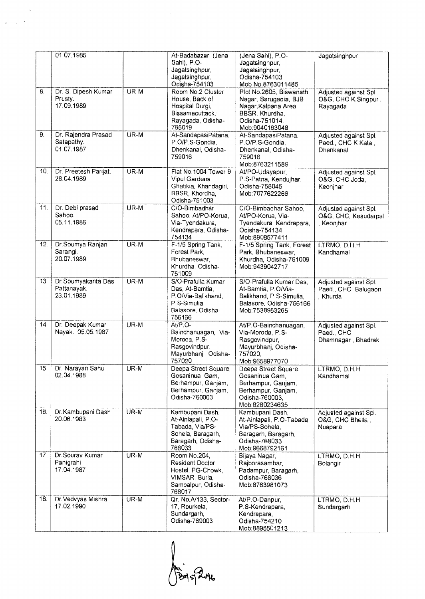|     | 01.07.1985                                      |        | At-Badabazar (Jena<br>Sahi), P.O-<br>Jagatsinghpur,<br>Jagatsinghpur,                                                    | (Jena Sahi), P.O-<br>Jagatsinghpur,<br>Jagatsinghpur,<br>Odisha-754103                                                                            | Jagatsinghpur                                               |
|-----|-------------------------------------------------|--------|--------------------------------------------------------------------------------------------------------------------------|---------------------------------------------------------------------------------------------------------------------------------------------------|-------------------------------------------------------------|
| 8.  | Dr. S. Dipesh Kumar<br>Prusty.<br>17.09.1989    | UR-M   | Odisha-754103<br>Room No.2 Cluster<br>House, Back of<br>Hospital Durgi,<br>Bissamacuttack<br>Rayagada, Odisha-<br>765019 | Mob No.8763011485<br>Plot No.2605, Biswanath<br>Nagar, Sarugadia, BJB<br>Nagar Kalpana Area<br>BBSR, Khurdha,<br>Odisha-751014,<br>Mob:9040163048 | Adjusted against Spl.<br>O&G, CHC K.Singpur,<br>Rayagada    |
| 9.  | Dr. Rajendra Prasad<br>Satapathy.<br>01.07.1987 | UR-M   | At-SandapasiPatana,<br>P.O/P.S-Gondia,<br>Dhenkanal, Odisha-<br>759016                                                   | At-SandapasiPatana,<br>P.O/P.S-Gondia,<br>Dhenkanal, Odisha-<br>759016<br>Mob:8763211589                                                          | Adjusted against Spl.<br>Paed., CHC K Kata,<br>Dhenkanal    |
| 10. | Dr. Preetesh Parijat.<br>28.04.1989             | UR-M   | Flat No. 1004 Tower 9<br>Vipul Gardens,<br>Ghatikia, Khandagiri,<br>BBSR, Khordha,<br>Odisha-751003                      | At/PO-Udayapur,<br>P S-Patna, Kendujhar,<br>Odisha-758045,<br>Mob:7077622266                                                                      | Adjusted against Spl.<br>O&G, CHC Joda,<br>Keonjhar         |
| 11. | Dr. Debi prasad<br>Sahoo.<br>05.11.1986         | UR-M   | C/O-Bimbadhar<br>Sahoo, At/PO-Korua,<br>Via-Tyendakura,<br>Kendrapara, Odisha-<br>754134                                 | C/O-Bimbadhar Sahoo,<br>At/PO-Korua, Via-<br>Tyendakura, Kendrapara,<br>Odisha-754134.<br>Mob:8908577411                                          | Adjusted against Spl.<br>O&G, CHC, Kesudarpal<br>, Keonihar |
| 12. | Dr.Soumya Ranjan<br>Sarangi.<br>20.07.1989      | UR-M   | F-1/5 Spring Tank,<br>Forest Park,<br>Bhubaneswar.<br>Khurdha, Odisha-<br>751009                                         | F-1/5 Spring Tank, Forest<br>Park, Bhubaneswar,<br>Khurdha, Odisha-751009<br>Mob:9439042717                                                       | LTRMO, D.H.H<br>Kandhamal                                   |
| 13. | Dr.Soumyakanta Das<br>Pattanayak.<br>23.01.1989 | UR-M   | S/O-Prafulla Kumar<br>Das, At-Bamtia,<br>P.O/Via-Balikhand,<br>P.S-Simulia,<br>Balasore, Odisha-<br>756166               | S/O-Prafulla Kumar Das,<br>At-Bamtia, P.O/Via-<br>Balikhand, P.S-Simulia,<br>Balasore, Odisha-756166<br>Mob.7538953265                            | Adjusted against Spl.<br>Paed., CHC, Balugaon<br>. Khurda   |
| 14. | Dr. Deepak Kumar<br>Nayak. 05.05.1987           | UR-M   | At/P.O-<br>Bainchanuagan, Via-<br>Moroda, P.S-<br>Rasgovindpur,<br>Mayurbhanj, Odisha-<br>757020                         | At/P.O-Bainchanuagan,<br>Via-Moroda, P.S-<br>Rasgovindpur,<br>Mayurbhanj, Odisha-<br>757020,<br>Mob:9658977070                                    | Adjusted against Spl.<br>Paed., CHC<br>Dhamnagar, Bhadrak   |
| 15. | Dr. Narayan Sahu<br>02.04.1988                  | $UR-M$ | Deepa Street Square,<br>Gosaninua Gam,<br>Berhampur, Ganjam,<br>Berhampur, Ganjam,<br>Odisha-760003                      | Deepa Street Square,<br>Gosaninua Gam,<br>Berhampur, Ganjam,<br>Berhampur, Ganjam,<br>Odisha-760003,<br>Mob:8280234635                            | LTRMO, D.H.H<br>Kandhamal                                   |
| 16. | Dr.Kambupani Dash<br>20.06.1983                 | $UR-M$ | Kambupani Dash,<br>At-Ainlapali, P.O-<br>Tabada, Via/PS-<br>Sohela, Baragarh,<br>Baragarh, Odisha-<br>768033             | Kambupani Dash,<br>At-Ainlapali, P.O-Tabada,<br>Via/PS-Sohela,<br>Baragarh, Baragarh,<br>Odisha-768033<br>Mob:9668792161                          | Adjusted against Spl.<br>O&G, CHC Bhella<br>Nuapara         |
| 17. | Dr Sourav Kumar<br>Panigrahi<br>17.04.1987      | UR-M   | Room No.204,<br>Resident Doctor<br>Hostel, PG-Chowk,<br>VIMSAR, Burla,<br>Sambalpur, Odisha-<br>768017                   | Bijaya Nagar,<br>Rajborasambar,<br>Padampur, Baragarh,<br>Odisha-768036<br>Mob:8763981073                                                         | LTRMO, D.H.H.<br>Bolangir                                   |
| 18. | Dr. Vedvyas Mishra<br>17.02.1990                | UR-M   | Qr. No.A/133, Sector-<br>17, Rourkela,<br>Sundargarh,<br>Odisha-769003                                                   | At/P.O-Danpur,<br>P.S-Kendrapara,<br>Kendrapara,<br>Odisha-754210<br>Mob:8895501213                                                               | LTRMO, D.H.H<br>Sundargarh                                  |

 $\ddot{\phantom{0}}$  $\frac{1}{2} \frac{1}{2} \frac{1}{2} \frac{1}{2}$  $\hat{\mathcal{L}}$ 

Ani Perk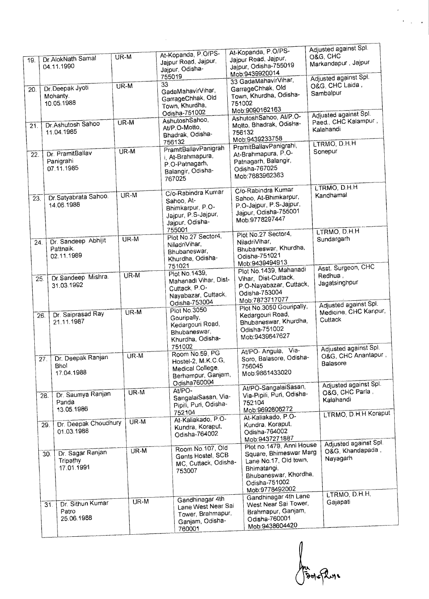|                   |                                                   |                   |                                                                                                          | At-Kopanda, P.O/PS-                                                                                                                                     | Adjusted against Spl.                                     |
|-------------------|---------------------------------------------------|-------------------|----------------------------------------------------------------------------------------------------------|---------------------------------------------------------------------------------------------------------------------------------------------------------|-----------------------------------------------------------|
| 19.               | Dr. AlokNath Samal<br>04.11.1990                  | UR-M              | At-Kopanda, P.O/PS-<br>Jajpur Road, Jajpur,<br>Jajpur, Odisha-                                           | Jajpur Road, Jajpur,<br>Jajpur, Odisha-755019<br>Mob:9439920014                                                                                         | O&G, CHC<br>Markandapur, Jajpur                           |
|                   |                                                   |                   | 755019                                                                                                   | 33 GadaMahavirVihar,                                                                                                                                    | Adjusted against Spl.                                     |
| 20.               | Dr. Deepak Jyoti<br>Mohanty.<br>10.05.1988        | $\overline{UR-M}$ | 33<br>GadaMahavirVihar,<br>GarrageChhak, Old<br>Town, Khurdha,<br>Odisha-751002                          | GarrageChhak, Old<br>Town, Khurdha, Odisha-<br>751002<br>Mob:9090162163                                                                                 | O&G, CHC Laida<br>Sambalpur                               |
|                   |                                                   |                   | AshutoshSahoo,                                                                                           | AshutoshSahoo, At/P.O-                                                                                                                                  | Adjusted against Spl.<br>Paed., CHC Kalampur,             |
| 21.               | Dr. Ashutosh Sahoo<br>11.04.1985                  | UR-M              | At/P.O-Motto,<br>Bhadrak, Odisha-                                                                        | Motto, Bhadrak, Odisha-<br>756132<br>Mob:9439233758                                                                                                     | Kalahandi                                                 |
|                   |                                                   | UR-M              | 756132<br>PramitBallavPanigrah                                                                           | PramitBallavPanigrahi,                                                                                                                                  | LTRMO, D.H.H                                              |
| 22.               | Dr. PramitBallav<br>Panigrahi<br>07.11.1985       |                   | i. At-Brahmapura,<br>P.O-Patnagarh,<br>Balangir, Odisha-<br>767025                                       | At-Brahmapura, P.O-<br>Patnagarh, Balangir,<br>Odisha-767025<br>Mob:7683962363                                                                          | Sonepur                                                   |
| $\overline{23}$ . | Dr. Satyabrata Sahoo<br>14.06.1988                | UR-M              | C/o-Rabindra Kumar<br>Sahoo, At-<br>Bhimkarpur, P.O-<br>Jajpur, P.S-Jajpur,<br>Jajpur, Odisha-           | C/o-Rabindra Kumar<br>Sahoo, At-Bhimkarpur,<br>P.O-Jaipur, P.S-Jajpur,<br>Jajpur, Odisha-755001<br>Mob:9778297447                                       | LTRMO, D.H.H<br>Kandhamal                                 |
| 24.               | Dr. Sandeep Abhijit<br>Pattnaik<br>02.11.1989     | UR-M              | 755001<br>Plot No.27 Sector4,<br>NiladriVihar,<br>Bhubaneswar,<br>Khurdha, Odisha-                       | Plot No.27 Sector4,<br>NiladriVihar,<br>Bhubaneswar, Khurdha,<br>Odisha-751021                                                                          | LTRMO, D.H.H<br>Sundargarh                                |
| 26                | Dr Sandeep Mishra.<br>31.03.1992                  | UR-M              | 751021<br>Plot No. 1439,<br>Mahanadi Vihar, Dist-<br>Cuttack, P.O-<br>Nayabazar, Cuttack,                | Mob:9439494913<br>Plot No.1439, Mahanadi<br>Vihar, Dist-Cuttack,<br>P.O-Nayabazar, Cuttack,<br>Odisha-753004<br>Mob:7873717077                          | Asst. Surgeon, CHC<br>Redhua,<br>Jagatsinghpur            |
|                   | Dr. Saiprasad Ray<br>26.<br>21.11.1987            | $UR-M$            | Odisha-753004<br>Plot No.3050<br>Gouripally,<br>Kedargouri Road,<br>Bhubaneswar<br>Khurdha, Odisha-      | Plot No.3050 Gouripally,<br>Kedargouri Road,<br>Bhubaneswar, Khurdha,<br>Odisha-751002<br>Mob.9439647627                                                | Adjusted against Spl.<br>Medicine, CHC Kanpur,<br>Cuttack |
|                   | Dr. Deepak Ranjan<br>27.<br>Bhol<br>17.04.1988    | UR-M              | 751002<br>Room No.59, PG<br>Hostel-2, M.K.C.G.<br>Medical College,<br>Berhampur, Ganjam,<br>Odisha760004 | At/PO- Angula, Via-<br>Soro, Balasore, Odisha-<br>756045<br>Mob:9861433020                                                                              | Adjusted against Spl.<br>O&G, CHC Anantapur,<br>Balasore  |
|                   | Dr. Saumya Ranjan<br>28.<br>Panda<br>13.05.1986   | $\overline{UR-M}$ | At/PO-<br>SangalaiSasan, Via-<br>Pipili, Puri, Odisha-                                                   | At/PO-SangalaiSasan,<br>Via-Pipili, Puri, Odisha-<br>752104<br>Mob:9692606272                                                                           | Adjusted against Spl.<br>O&G, CHC Parla,<br>Kalahandi     |
|                   | Dr. Deepak Choudhury<br>29.<br>01.03.1988         | UR-M              | 752104<br>At-Kaliakado, P.O-<br>Kundra, Koraput,<br>Odisha-764002                                        | At-Kaliakado, P.O-<br>Kundra, Koraput,<br>Odisha-764002<br>Mob.9437271887                                                                               | LTRMO, D.H.H Koraput                                      |
|                   | Dr. Sagar Ranjan<br>30.<br>Tripathy<br>17.01.1991 | $UR-M$            | Room No.107, Old<br>Gents Hostel, SCB<br>MC, Cuttack, Odisha-<br>753007                                  | Plot no. 1479, Anni House<br>Square, Bhimeswar Marg<br>Lane No.17, Old town,<br>Bhimatangi,<br>Bhubaneswar, Khordha,<br>Odisha-751002<br>Mob:9778492002 | Adjusted against Spl.<br>O&G, Khandapada,<br>Nayagarh     |
|                   | Dr. Sithun Kumar<br>31.<br>Patro<br>25.06.1988    | UR-M              | Gandhinagar 4th<br>Lane West Near Sai<br>Tower, Brahmapur,<br>Ganjam, Odisha-<br>760001                  | Gandhinagar 4th Lane<br>West Near Sai Tower,<br>Brahmapur, Ganjam,<br>Odisha-760001<br>Mob.9438604420                                                   | LTRMO, D.H.H.<br>Gajapati                                 |

na<br>Bologhole

 $\frac{1}{2}$  ,  $\frac{1}{2}$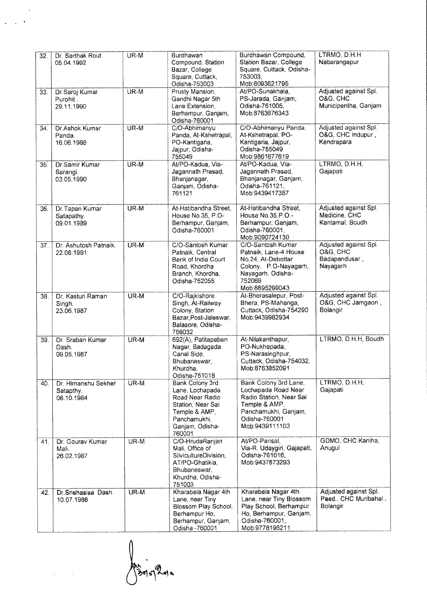| 32. | Dr. Sarthak Rout<br>05.04.1992                 | UR-M   | Burdhawan<br>Compound, Station<br>Bazar, College<br>Square, Cuttack,<br>Odisha-753003                                                    | Burdhawan Compound,<br>Station Bazar, College<br>Square, Cuttack, Odisha-<br>753003.<br>Mob.8093621795                                              | LTRMO, D.H.H<br>Nabarangapur                                   |
|-----|------------------------------------------------|--------|------------------------------------------------------------------------------------------------------------------------------------------|-----------------------------------------------------------------------------------------------------------------------------------------------------|----------------------------------------------------------------|
| 33  | Dr. Saroj Kumar<br>Purohit.<br>29.11.1990      | $UR-M$ | Prusty Mansion.<br>Gandhi Nagar 5th<br>Lane Extension,<br>Berhampur, Ganjam,<br>Odisha-760001                                            | At/PO-Sunakhala,<br>PS-Jarada, Ganjam,<br>Odisha-761005,<br>Mob:8763676343                                                                          | Adjusted against Spl.<br>O&G, CHC<br>Municipentha, Ganjam      |
| 34. | Dr. Ashok Kumar<br>Panda.<br>16.06.1988        | $UR-M$ | C/O-Abhimanyu<br>Panda, At-Kshetrapal,<br>PO-Kantigaria,<br>Jajpur, Odisha-<br>755049                                                    | C/O-Abhimanyu Panda,<br>At-Kshetrapal, PO-<br>Kantigaria, Jaipur,<br>Odisha-755049<br>Mob:9861677619                                                | Adjusted against Spl.<br>O&G, CHC Indupur,<br>Kendrapara       |
| 35. | Dr. Samir Kumar<br>Sarangi.<br>03.05.1990      | UR-M   | At/PO-Kadua, Via-<br>Jagannath Prasad,<br>Bhanjanagar,<br>Ganjam, Odisha-<br>761121                                                      | At/PO-Kadua, Via-<br>Jagannath Prasad,<br>Bhanjanagar, Ganjam,<br>Odisha-761121.<br>Mob:9439417357                                                  | LTRMO, D.H.H.<br>Gajapati                                      |
| 36  | Dr. Tapan Kumar<br>Satapathy.<br>09.01.1989    | $UR-M$ | At-Hatibandha Street,<br>House No.35, P.O.<br>Berhampur, Ganjam,<br>Odisha-760001                                                        | At-Hatibandha Street.<br>House No.35 P.O.-<br>Berhampur, Ganjam,<br>Odisha-760001,<br>Mob.9090724130                                                | Adjusted against Spl.<br>Medicine, CHC<br>Kantamal, Boudh      |
| 37. | Dr. Ashutosh Patnaik.<br>22.08.1991            | UR-M   | C/O-Santosh Kumar<br>Patnaik, Central<br>Bank of India Court<br>Road, Khordha<br>Branch, Khordha,<br>Odisha-752055                       | C/O-Santosh Kumar<br>Patnaik, Lane-4 House<br>No.24, At-Debottar<br>Colony, P.O-Nayagarh,<br>Nayagarh, Odisha-<br>752069<br>Mob:8895299043          | Adjusted against Spl.<br>O&G, CHC<br>Badapandusar,<br>Nayagarh |
| 38. | Dr. Kasturi Raman<br>Singh.<br>23.06.1987      | UR-M   | C/O-Rajkishore<br>Singh, At-Railway<br>Colony, Station<br>Bazar Post-Jaleswar,<br>Balasore, Odisha-<br>756032                            | At-Bherasalepur, Post-<br>Bhera, PS-Mahanga,<br>Cuttack, Odisha-754290<br>Mob:9439982934                                                            | Adjusted against Spl.<br>O&G, CHC Jamgaon,<br>Bolangir         |
| 39. | Dr. Sraban Kumar<br>Dash.<br>09.05.1987        | UR-M   | 692(A), Patitapaban<br>Nagar, Badagada<br>Canal Side,<br>Bhubaneswar<br>Khurdha.<br>Odisha-751018                                        | At-Nilakanthapur,<br>PO-Nukhapada,<br>PS-Narasinghpur,<br>Cuttack, Odisha-754032,<br>Mob:8763852091                                                 | LTRMO, D.H.H. Boudh                                            |
| 40. | Dr. Himanshu Sekher<br>Satapthy.<br>08.10.1984 | UR-M   | Bank Colony 3rd<br>Lane, Lochapada<br>Road Near Radio<br>Station, Near Sai<br>Temple & AMP,<br>Panchamukhi,<br>Ganjam, Odisha-<br>760001 | Bank Colony 3rd Lane,<br>Lochapada Road Near<br>Radio Station, Near Sai<br>Temple & AMP,<br>Panchamukhi, Ganjam,<br>Odisha-760001<br>Mob:9439111103 | LTRMO, D.H.H.<br>Gajapati                                      |
| 41. | Dr. Gourav Kumar<br>Mali.<br>26.02.1987        | UR-M   | C/O-HrudaRanjan<br>Mali, Office of<br>SilvicultureDivision,<br>AT/PO-Ghatikia,<br>Bhubaneswar,<br>Khurdha, Odisha-<br>751003             | At/PO-Parisal,<br>Via-R. Udaygiri, Gajapati,<br>Odisha-761016,<br>Mob:9437873293                                                                    | GDMO, CHC Kaniha,<br>Anugul                                    |
| 42. | Dr.Snehasisa Dash.<br>10.07.1988               | UR-M   | Kharabela Nagar 4th<br>Lane, near Tiny<br>Blossom Play School,<br>Berhampur Ho,<br>Berhampur, Ganjam,<br>Odisha -760001                  | Kharabela Nagar 4th<br>Lane, near Tiny Blossom<br>Play School, Berhampur<br>Ho, Berhampur, Ganjam,<br>Odisha-760001,<br>Mob:9778196211              | Adjusted against Spl.<br>Paed., CHC Muribahal,<br>Bolangir     |

Ani - 2010

 $\ddot{\phantom{1}}$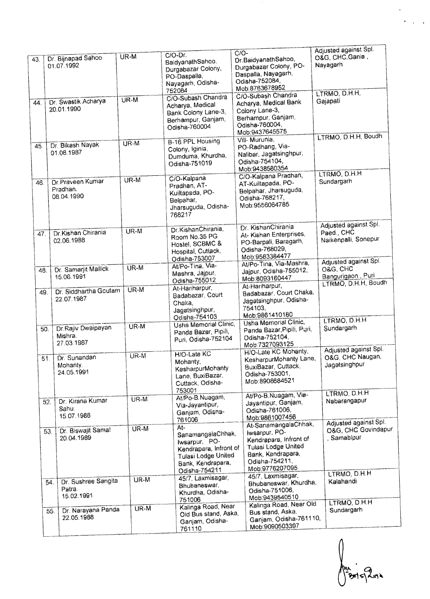|     | Dr. Bijnapad Sahoo                                 | UR-M              | $C/O-Dr.$                                                                                                       | $C/O-$                                                                                                                                          | Adjusted against Spi.<br>O&G, CHC Gania                                              |
|-----|----------------------------------------------------|-------------------|-----------------------------------------------------------------------------------------------------------------|-------------------------------------------------------------------------------------------------------------------------------------------------|--------------------------------------------------------------------------------------|
| 43, | 01.07.1992                                         |                   | BaidyanathSahco,<br>Durgabazar Colony,<br>PO-Daspalla,<br>Nayagarh, Odisha-                                     | Dr.BaidyanathSahoo,<br>Durgabazar Colony, PO-<br>Daspalla, Nayagarh,<br>Odisha-752084,                                                          | Nayagarh                                                                             |
| 44. | Dr. Swastik Acharya<br>20.01.1990                  | $\overline{UR-M}$ | 752084<br>C/O-Subash Chandra<br>Acharya, Medical<br>Bank Colony Lane-3,<br>Berhampur, Ganjam,<br>Odisha-760004  | Mob:8763678952<br>C/O-Subash Chandra<br>Acharya, Medical Bank<br>Colony Lane-3,<br>Berhampur, Ganjam,<br>Odisha-760004,<br>Mob:9437645575       | LTRMO, D.H.H.<br>Gajapati                                                            |
| 45. | Dr. Bikash Nayak<br>01.08.1987                     | $UR-M$            | B-16 PPL Housing<br>Colony, Iginia,<br>Dumduma, Khurdha,<br>Odisha-751019                                       | Vill-Murunia,<br>PO-Radhang, Via-<br>Nalibar, Jagatsinghpur,<br>Odisha-754104,<br>Mob:9438580354                                                | LTRMO, D.H.H. Boudh                                                                  |
| 46. | Dr Praveen Kumar<br>Pradhan.<br>08.04.1990         | UR-M              | C/O-Kalpana<br>Pradhan, AT-<br>Kuiltapada, PO-<br>Belpahar,<br>Jharsuguda, Odisha-<br>768217                    | C/O-Kalpana Pradhan,<br>AT-Kuiltapada, PO-<br>Belpahar, Jharsuguda,<br>Odisha-768217,<br>Mob:9556064785                                         | LTRMO, D.H.H<br>Sundargarh                                                           |
| 47. | Dr.Kishan Chirania<br>02.06.1988                   | UR-M              | Dr. KishanChirania,<br>Room No.35 PG<br>Hostel, SCBMC &<br>Hospital, Cuttack,<br>Odisha-753007                  | Dr. KishanChirania<br>At- Kishan Enterprises,<br>PO-Barpali, Baragarh,<br>Odisha-768029,<br>Mob:9583384477                                      | Adjusted against Spl.<br>Paed., CHC<br>Naikenpalli, Sonepur<br>Adjusted against Spl. |
| 48. | Dr. Samarjit Mallick<br>15.06.1991                 | UR-M              | At/Po-Tina, Via-<br>Mashra, Jajpur,<br>Odisha-755012                                                            | At/Po-Tina, Via-Mashra,<br>Jaipur, Odisha-755012.<br>Mob:8093160447<br>At-Hariharpur,                                                           | O&G, CHC<br>Bangurigaon, Puri<br>LTRMO, D.H.H, Boudh                                 |
| 49. | Dr. Siddhartha Goutam<br>22.07.1987                | UR-M              | At-Hariharpur,<br>Badabazar, Court<br>Chaka,<br>Jagatsinghpur,<br>Odisha-754103                                 | Badabazar, Court Chaka,<br>Jagatsinghpur, Odisha-<br>754103,<br>Mob:9861410180                                                                  |                                                                                      |
| 50. | Dr.Rajiv Dwaipayan<br>Mishra.<br>27.03.1987        | UR-M              | Usha Memorial Clinic,<br>Panda Bazar, Pipili,<br>Puri, Odisha-752104                                            | Usha Memorial Clinic,<br>Panda Bazar Pipili, Puri,<br>Odisha-752104,<br>Mob:7327093125                                                          | LTRMO, D.H.H<br>Sundargarh                                                           |
| 51. | Dr. Sunandan<br>Mohanty.<br>24.05.1991             | UR-M              | H/O-Late KC<br>Mohanty,<br>KesharpurMohanty<br>Lane, BuxiBazar,<br>Cuttack, Odisha-                             | H/O-Late KC Mohanty,<br>KesharpurMohanty Lane,<br>BuxiBazar, Cuttack,<br>Odisha-753001.<br>Mob:8908684521                                       | Adjusted against Spl.<br>O&G, CHC Naugan,<br>Jagatsinghpur                           |
| 52. | Dr. Kirana Kumar<br>Sahu.<br>15.07.1986            | UR-M              | 753001<br>At/Po-B.Nuagam,<br>Via-Jayantipur,<br>Ganjam, Odisha-<br>761006                                       | At/Po-B.Nuagam, Via-<br>Jayantipur, Ganjam,<br>Odiaha-761006,<br>Mob:9861007456                                                                 | LTRMO, D.H.H<br>Nabarangapur                                                         |
| 53. | Dr. Biswajit Samal<br>20.04.1989                   | UR-M              | At-<br>SanamangalaChhak,<br>Iwsarpur, PO-<br>Kendrapara, Infront of<br>Tulasi Lodge United<br>Bank, Kendrapara, | At-SanamangalaChhak,<br>Iwsarpur, PO-<br>Kendrapara, Infront of<br>Tulasi Lodge United<br>Bank, Kendrapara,<br>Odisha-754211,<br>Mob.9776207095 | Adjusted against Spl.<br>O&G, CHC Govindapur<br>Samabipur                            |
|     | Dr. Sushree Sangita<br>54.<br>Patra.<br>15.02.1991 | UR-M              | Odisha-754211<br>45/7, Laxmisagar,<br>Bhubaneswar,<br>Khurdha, Odisha-<br>751006                                | 45/7, Laxmisagar,<br>Bhubaneswar, Khurdha,<br>Odisha-751006,<br>Mob:9439540510                                                                  | LTRMO, D.H.H<br>Kalahandi<br>LTRMO, D.H.H                                            |
|     | Dr. Narayana Panda<br>55.<br>22.05.1988            | UR-M              | Kalinga Road, Near<br>Old Bus stand, Aska,<br>Ganjam, Odisha-<br>761110                                         | Kalinga Road, Near Old<br>Bus stand, Aska,<br>Ganjam, Odisha-761110,<br>Mob.9090503397                                                          | Sundargarh                                                                           |

n<br>| Bris Zuia

 $\overline{\mathcal{K}}$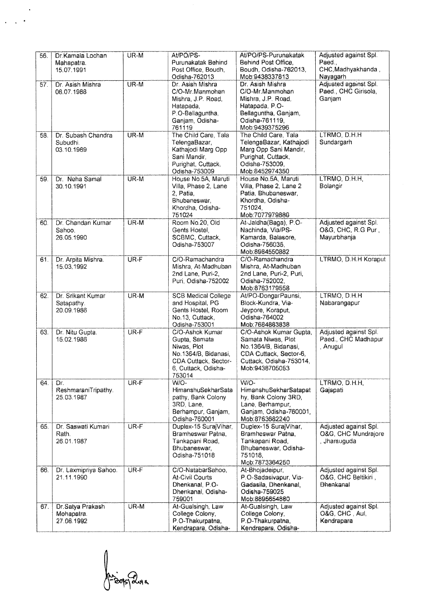| 56. | Dr.Kamala Lochan      | UR-M   | At/PO/PS-                               | At/PO/PS-Purunakatak                    | Adjusted against Spl. |
|-----|-----------------------|--------|-----------------------------------------|-----------------------------------------|-----------------------|
|     | Mahapatra.            |        | Purunakatak Behind                      | Behind Post Office.                     | Paed.                 |
|     | 15.07.1991            |        | Post Office, Boudh,                     | Boudh, Odisha-762013,                   | CHC, Madhyakhanda,    |
|     |                       |        | Odisha-762013                           | Mob:9438337813                          | Nayagarh              |
| 57. | Dr. Asish Mishra      | UR-M   | Dr. Asish Mishra                        | Dr. Asish Mishra                        | Adjusted against Spl. |
|     | 08.07.1988            |        | C/O-Mr.Manmohan                         | C/O-Mr.Manmohan                         | Paed., CHC Girisola,  |
|     |                       |        | Mishra, J.P. Road,                      | Mishra, J.P. Road,                      | Ganjam                |
|     |                       |        |                                         |                                         |                       |
|     |                       |        | Hatapada,                               | Hatapada, P.O-                          |                       |
|     |                       |        | P.O-Bellaguntha,                        | Bellaguntha, Ganjam,                    |                       |
|     |                       |        | Ganjam, Odisha-                         | Odisha-761119,                          |                       |
|     |                       |        | 761119                                  | Mob:9439375296                          |                       |
| 58. | Dr. Subash Chandra    | $UR-M$ | The Child Care, Tala                    | The Child Care, Tala                    | LTRMO, D.H.H          |
|     | Subudhi.              |        | TelengaBazar,                           | TelengaBazar, Kathajodi                 | Sundargarh            |
|     | 03.10.1989            |        | Kathajodi Marg Opp                      | Marg Opp Sani Mandir,                   |                       |
|     |                       |        | Sani Mandir,                            | Purighat, Cuttack,                      |                       |
|     |                       |        | Purighat, Cuttack,                      | Odisha-753009,                          |                       |
|     |                       |        | Odisha-753009                           | Mob:8452974350                          |                       |
| 59. | Dr. Neha Samal        | UR-M   | House No.5A, Maruti                     | House No.5A, Maruti                     | LTRMO, D.H.H.         |
|     | 30.10.1991            |        | Villa, Phase 2, Lane                    | Villa, Phase 2, Lane 2                  | Bolangir              |
|     |                       |        | 2. Patia.                               | Patia, Bhubaneswar,                     |                       |
|     |                       |        | Bhubaneswar,                            | Khordha, Odisha-                        |                       |
|     |                       |        | Khordha, Odisha-                        | 751024,                                 |                       |
|     |                       |        | 751024                                  | Mob:7077979886                          |                       |
|     |                       | UR-M   | Room No.20, Old                         |                                         | Adjusted against Spl. |
| 60. | Dr. Chandan Kumar     |        |                                         | At-Jaldha(Baga), P.O-                   |                       |
|     | Sahoo.                |        | Gents Hostel.                           | Nachinda, Via/PS-                       | O&G, CHC, R.G Pur,    |
|     | 26.05.1990            |        | SCBMC, Cuttack,                         | Kamarda, Balasore,                      | Mayurbhanja           |
|     |                       |        | Odisha-753007                           | Odisha-756035,                          |                       |
|     |                       |        |                                         | Mob:8984550882                          |                       |
| 61. | Dr. Arpita Mishra.    | UR-F   | C/O-Ramachandra                         | C/O-Ramachandra                         | LTRMO, D.H.H Koraput  |
|     | 15.03.1992            |        | Mishra, At-Madhuban                     | Mishra, At-Madhuban                     |                       |
|     |                       |        | 2nd Lane, Puri-2,                       | 2nd Lane, Puri-2, Puri,                 |                       |
|     |                       |        | Puri, Odisha-752002                     | Odisha-752002,                          |                       |
|     |                       |        |                                         | Mob:8763179558                          |                       |
| 62. | Dr. Srikant Kumar     | UR-M   | <b>SCB Medical College</b>              | At/PO-DongarPaunsi,                     | LTRMO, D.H.H          |
|     | Satapathy.            |        | and Hospital, PG                        | Block-Kundra, Via-                      | Nabarangapur          |
|     | 20.09.1986            |        | Gents Hostel, Room                      | Jeypore, Koraput,                       |                       |
|     |                       |        | No.13, Cuttack,                         | Odisha-764002                           |                       |
|     |                       |        | Odisha-753001                           | Mob:7684883838                          |                       |
| 63. | Dr. Nitu Gupta.       | UR-F   | C/O-Ashok Kumar                         | C/O-Ashok Kumar Gupta,                  | Adjusted against Spl. |
|     | 15.02.1986            |        | Gupta, Samata                           | Samata Niwas, Plot                      | Paed., CHC Madhapur   |
|     |                       |        |                                         | No.1364/B, Bidanasi,                    | , Anugul              |
|     |                       |        | Niwas, Plot                             |                                         |                       |
|     |                       |        | No.1364/B, Bidanasi,                    | CDA Cuttack, Sector-6,                  |                       |
|     |                       |        | CDA Cuttack, Sector-                    | Cuttack, Odisha-753014,                 |                       |
|     |                       |        | 6, Cuttack, Odisha-                     | Mob:9438705053                          |                       |
|     |                       |        | 753014                                  |                                         |                       |
| 64. | Dr.                   | UR-F   | WIO-                                    | W/O-                                    | LTRMO, D.H.H.         |
|     | ReshmaraniTripathy.   |        | HimanshuSekharSata                      | HimanshuSekharSatapat                   | Gajapati              |
|     | 25.03.1987            |        | pathy, Bank Colony                      | hy, Bank Colony 3RD,                    |                       |
|     |                       |        | 3RD, Lane,                              | Lane, Berhampur,                        |                       |
|     |                       |        | Berhampur, Ganjam,                      | Ganjam, Odisha-760001,                  |                       |
|     |                       |        | Odisha-760001                           | Mob:8763682240                          |                       |
| 65. | Dr. Saswati Kumari    | UR-F   | Duplex-15 SurajVihar,                   | Duplex-15 SurajVihar,                   | Adjusted against Spl. |
|     | Rath.                 |        | Bramheswar Patna,                       | Bramheswar Patna.                       | O&G, CHC Mundrajore   |
|     | 26.01.1987            |        | Tankapani Road,                         | Tankapani Road,                         | , Jharsuguda          |
|     |                       |        | Bhubaneswar,                            | Bhubaneswar, Odisha-                    |                       |
|     |                       |        | Odisha-751018                           | 751018,                                 |                       |
|     |                       |        |                                         | Mob:7873364250                          |                       |
| 66. | Dr. Laxmipriya Sahoo. | UR-F   | C/O-NatabarSahoo,                       | At-Bhojadeipur,                         | Adjusted against Spl. |
|     | 21.11.1990            |        | <b>At-Civil Courts</b>                  | P.O-Sadasivapur, Via-                   | O&G, CHC Beltikiri,   |
|     |                       |        | Dhenkanal, P.O-                         | Gadasila, Dhenkanal,                    | <b>Dhenkanal</b>      |
|     |                       |        | Dhenkanal, Odisha-                      | Odisha-759025                           |                       |
|     |                       |        | 759001                                  | Mob:8895654880                          |                       |
| 67. | Dr.Satya Prakash      | UR-M   | At-Gualsingh, Law                       | At-Gualsingh, Law                       | Adjusted against Spl. |
|     |                       |        |                                         |                                         |                       |
|     |                       |        |                                         |                                         |                       |
|     | Mohapatra.            |        | College Colony,                         | College Colony,                         | O&G, CHC, Aul,        |
|     | 27.06.1992            |        | P.O-Thakurpatna,<br>Kendrapara, Odisha- | P.O-Thakurpatna,<br>Kendrapara, Odisha- | Kendrapara            |

║

Anidos dura

 $\ddot{\phantom{0}}$ 

 $\ddot{\phantom{1}}$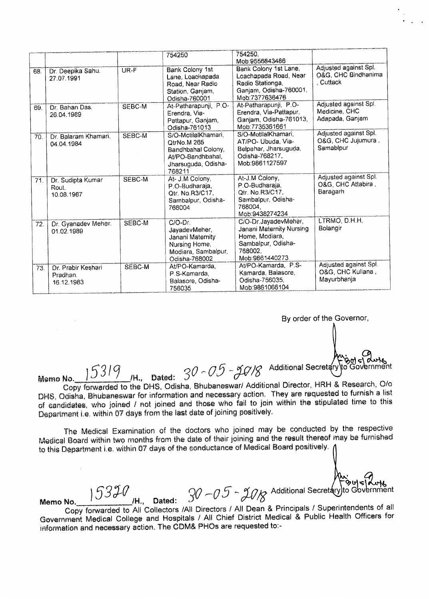|     |                                              |        | 754250                                                                                                         | 754250.                                                                                                                          |                                                           |
|-----|----------------------------------------------|--------|----------------------------------------------------------------------------------------------------------------|----------------------------------------------------------------------------------------------------------------------------------|-----------------------------------------------------------|
| 68. | Dr. Deepika Sahu.<br>27.07.1991              | UR-F   | <b>Bank Colony 1st</b><br>Lane, Loachapada<br>Road, Near Radio<br>Station, Ganjam,<br>Odisha-760001            | Mob:9556843486<br>Bank Colony 1st Lane,<br>Loachapada Road, Near<br>Radio Stationga,<br>Ganjam, Odisha-760001,<br>Meb:7377636476 | Adjusted against Spl.<br>O&G, CHC Bindhanima<br>, Cuttack |
| 69. | Dr. Bahan Das.<br>26.04.1989                 | SEBC-M | At-Patharapunji, P.O-<br>Erendra, Via-<br>Pattapur, Ganjam,<br>Odisha-761013                                   | At-Patharapunji, P.O-<br>Erendra, Via-Pattapur,<br>Ganjam, Odisha-761013,<br>Mob: 7735361661                                     | Adjusted against Spl.<br>Medicine, CHC<br>Adapada, Ganjam |
| 70. | Dr. Balaram Khamari.<br>04.04.1984           | SEBC-M | S/O-MotilalKhamari,<br>OtrNo M 265<br>Bandhbahal Colony,<br>At/PO-Bandhbahal,<br>Jharsuguda, Odisha-<br>768211 | S/O-MotilalKhamari,<br>AT/PO- Ubuda, Via-<br>Belpahar, Jharsuguda,<br>Odisha-768217,<br>Mob:9861127597                           | Adjusted against Spl.<br>O&G, CHC Jujumura,<br>Samablpur  |
| 71. | Dr. Sudipta Kumar<br>Rout.<br>10.08.1987     | SEBC-M | At- J.M Colony,<br>P.O-Budharaja,<br>Otr. No.R3/C17.<br>Sambalpur, Odisha-<br>768004                           | At-J.M Colony,<br>P.O-Budharaja.<br>Otr. No.R3/C17.<br>Sambalpur, Odisha-<br>768004.<br>Mob.9438274234                           | Adjusted against Spl.<br>O&G, CHC Attabira,<br>Baragarh   |
| 72. | Dr. Gyanadev Meher.<br>01.02.1989            | SEBC-M | C/O-Dr.<br>JavadevMeher,<br>Janani Maternity<br>Nursing Home,<br>Modiara, Sambalpur,<br>Odisha-768002          | C/O-Dr.JayadevMeher,<br>Janani Maternity Nursing<br>Home, Modiara,<br>Sambalpur, Odisha-<br>768002.<br>Mob:9861440273            | LTRMO, D.H.H.<br>Bolangir                                 |
| 73. | Dr. Prabir Keshari<br>Pradhan.<br>16.12.1983 | SEBC-M | At/PO-Kamarda.<br>P.S-Kamarda.<br>Balasore, Odisha-<br>756035                                                  | At/PO-Kamarda, P.S-<br>Kamarda, Balasore,<br>Odisha-756035.<br>Mob:9861066104                                                    | Adjusted against Spl.<br>O&G, CHC Kuliana,<br>Mayurbhanja |

By order of the Governor,

1 -  $\sim$  Additional Secretary<br>I.M., Dated:  $30 - 05 - 30$ /8 Additional Secretary

প্ৰদাৰ

Memo **No. ) 53 /H"** Dated:

Copy forwarded to the DHS, Odisha, Bhubaneswar/ Additional Director, HRH & Research, 0/o DHS, Odisha, Bhubaneswar for information and necessary action. They are requested to furnish a list of candidates, who joined / not joined and those who fail to join within the stipulated time to this Department i.e. within 07 days from the last date of joining positively.

The Medical Examination of the doctors who joined may be conducted by the respective Medical Board within two months from the date of their joining and the result thereof may be furnished to this Department i.e. within 07 days of the conductance of Medical Board positively.

**15320**<br>Memo No. 15320<br>**11.** Dated:  $30 - 0.5 - 20$  Reditional Secretary to Government Copy forwarded to All Collectors /All Directors / All Dean & Principals / Superintendents of all Government Medical College and Hospitals / All Chief District Medical & Public Health Officers for information and necessary action. The CDM& PHOs are requested to:-